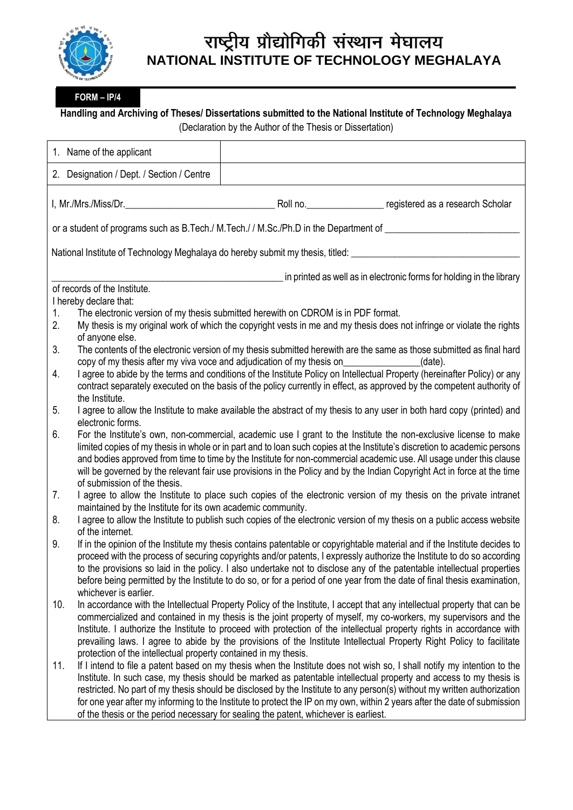

## राष्ट्रीय प्रौद्योगिकी संस्थान मेघालय **NATIONAL INSTITUTE OF TECHNOLOGY MEGHALAYA**

**FORM – IP/4**

**Handling and Archiving of Theses/ Dissertations submitted to the National Institute of Technology Meghalaya**

(Declaration by the Author of the Thesis or Dissertation)

| 1. Name of the applicant                                                                                                                                                                                                                                                                                                                                                                                                                                                                                                                                                   |                                                                                      |                                                                                                                                                                                                                                                                                                                                                                                                                                                                                                       |
|----------------------------------------------------------------------------------------------------------------------------------------------------------------------------------------------------------------------------------------------------------------------------------------------------------------------------------------------------------------------------------------------------------------------------------------------------------------------------------------------------------------------------------------------------------------------------|--------------------------------------------------------------------------------------|-------------------------------------------------------------------------------------------------------------------------------------------------------------------------------------------------------------------------------------------------------------------------------------------------------------------------------------------------------------------------------------------------------------------------------------------------------------------------------------------------------|
| 2. Designation / Dept. / Section / Centre                                                                                                                                                                                                                                                                                                                                                                                                                                                                                                                                  |                                                                                      |                                                                                                                                                                                                                                                                                                                                                                                                                                                                                                       |
| I, Mr./Mrs./Miss/Dr._                                                                                                                                                                                                                                                                                                                                                                                                                                                                                                                                                      |                                                                                      | Roll no. registered as a research Scholar                                                                                                                                                                                                                                                                                                                                                                                                                                                             |
| or a student of programs such as B.Tech./ M.Tech./ / M.Sc./Ph.D in the Department of ____________                                                                                                                                                                                                                                                                                                                                                                                                                                                                          |                                                                                      |                                                                                                                                                                                                                                                                                                                                                                                                                                                                                                       |
| National Institute of Technology Meghalaya do hereby submit my thesis, titled: undertaken by the substitute of                                                                                                                                                                                                                                                                                                                                                                                                                                                             |                                                                                      |                                                                                                                                                                                                                                                                                                                                                                                                                                                                                                       |
| of records of the Institute.<br>I hereby declare that:                                                                                                                                                                                                                                                                                                                                                                                                                                                                                                                     |                                                                                      | in printed as well as in electronic forms for holding in the library                                                                                                                                                                                                                                                                                                                                                                                                                                  |
| The electronic version of my thesis submitted herewith on CDROM is in PDF format.<br>1.<br>2.<br>My thesis is my original work of which the copyright vests in me and my thesis does not infringe or violate the rights<br>of anyone else.                                                                                                                                                                                                                                                                                                                                 |                                                                                      |                                                                                                                                                                                                                                                                                                                                                                                                                                                                                                       |
| The contents of the electronic version of my thesis submitted herewith are the same as those submitted as final hard<br>3.<br>copy of my thesis after my viva voce and adjudication of my thesis on<br>(date).                                                                                                                                                                                                                                                                                                                                                             |                                                                                      |                                                                                                                                                                                                                                                                                                                                                                                                                                                                                                       |
| I agree to abide by the terms and conditions of the Institute Policy on Intellectual Property (hereinafter Policy) or any<br>4.<br>contract separately executed on the basis of the policy currently in effect, as approved by the competent authority of<br>the Institute.                                                                                                                                                                                                                                                                                                |                                                                                      |                                                                                                                                                                                                                                                                                                                                                                                                                                                                                                       |
| I agree to allow the Institute to make available the abstract of my thesis to any user in both hard copy (printed) and<br>5.<br>electronic forms.                                                                                                                                                                                                                                                                                                                                                                                                                          |                                                                                      |                                                                                                                                                                                                                                                                                                                                                                                                                                                                                                       |
| For the Institute's own, non-commercial, academic use I grant to the Institute the non-exclusive license to make<br>6.<br>limited copies of my thesis in whole or in part and to loan such copies at the Institute's discretion to academic persons<br>and bodies approved from time to time by the Institute for non-commercial academic use. All usage under this clause<br>will be governed by the relevant fair use provisions in the Policy and by the Indian Copyright Act in force at the time<br>of submission of the thesis.                                      |                                                                                      |                                                                                                                                                                                                                                                                                                                                                                                                                                                                                                       |
| I agree to allow the Institute to place such copies of the electronic version of my thesis on the private intranet<br>7.<br>maintained by the Institute for its own academic community.                                                                                                                                                                                                                                                                                                                                                                                    |                                                                                      |                                                                                                                                                                                                                                                                                                                                                                                                                                                                                                       |
| I agree to allow the Institute to publish such copies of the electronic version of my thesis on a public access website<br>8.<br>of the internet.                                                                                                                                                                                                                                                                                                                                                                                                                          |                                                                                      |                                                                                                                                                                                                                                                                                                                                                                                                                                                                                                       |
| If in the opinion of the Institute my thesis contains patentable or copyrightable material and if the Institute decides to<br>9.<br>proceed with the process of securing copyrights and/or patents, I expressly authorize the Institute to do so according<br>to the provisions so laid in the policy. I also undertake not to disclose any of the patentable intellectual properties<br>before being permitted by the Institute to do so, or for a period of one year from the date of final thesis examination,<br>whichever is earlier.                                 |                                                                                      |                                                                                                                                                                                                                                                                                                                                                                                                                                                                                                       |
| 10.<br>In accordance with the Intellectual Property Policy of the Institute, I accept that any intellectual property that can be<br>commercialized and contained in my thesis is the joint property of myself, my co-workers, my supervisors and the<br>Institute. I authorize the Institute to proceed with protection of the intellectual property rights in accordance with<br>prevailing laws. I agree to abide by the provisions of the Institute Intellectual Property Right Policy to facilitate<br>protection of the intellectual property contained in my thesis. |                                                                                      |                                                                                                                                                                                                                                                                                                                                                                                                                                                                                                       |
| 11.                                                                                                                                                                                                                                                                                                                                                                                                                                                                                                                                                                        | of the thesis or the period necessary for sealing the patent, whichever is earliest. | If I intend to file a patent based on my thesis when the Institute does not wish so, I shall notify my intention to the<br>Institute. In such case, my thesis should be marked as patentable intellectual property and access to my thesis is<br>restricted. No part of my thesis should be disclosed by the Institute to any person(s) without my written authorization<br>for one year after my informing to the Institute to protect the IP on my own, within 2 years after the date of submission |